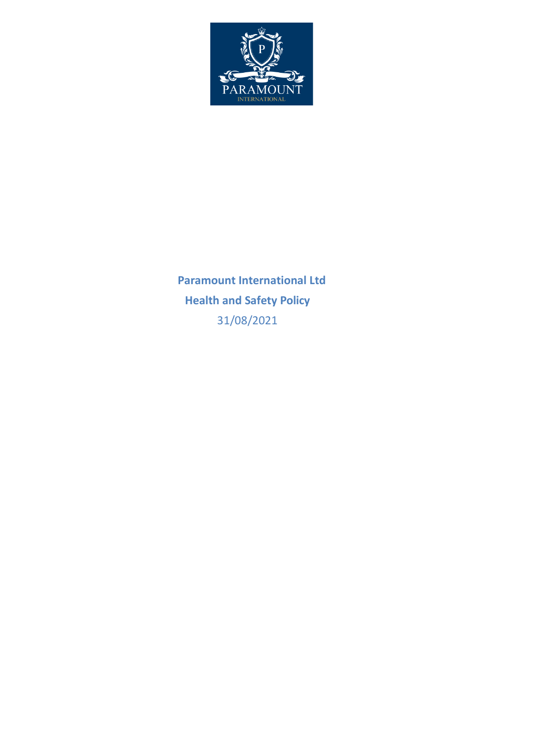

 **Paramount International Ltd Health and Safety Policy** 31/08/2021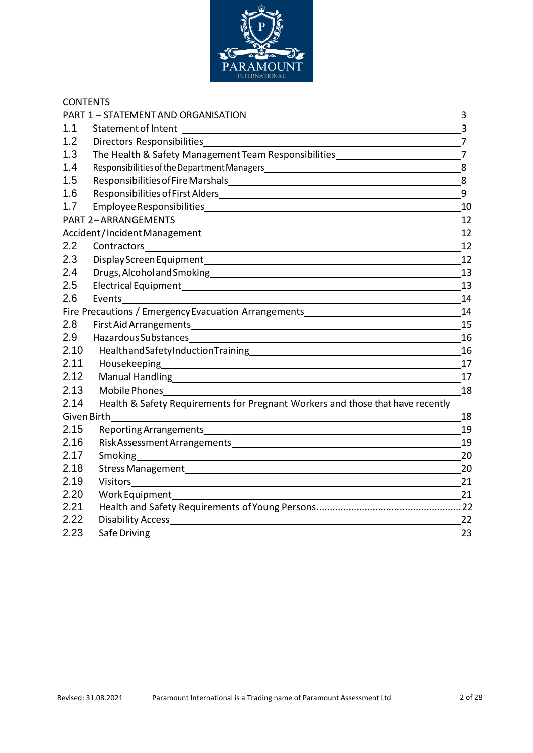

| <b>CONTENTS</b> |                                                                                  |                  |
|-----------------|----------------------------------------------------------------------------------|------------------|
|                 | PART 1 - STATEMENT AND ORGANISATION                                              | 3                |
| 1.1             | Statement of Intent                                                              | $\overline{3}$   |
| 1.2             |                                                                                  | $\overline{7}$   |
| 1.3             | The Health & Safety Management Team Responsibilities____________________________ | $\overline{7}$   |
| 1.4             |                                                                                  | 8                |
| 1.5             |                                                                                  | 8                |
| 1.6             |                                                                                  | $\boldsymbol{9}$ |
| 1.7             |                                                                                  | 10               |
|                 |                                                                                  | 12               |
|                 |                                                                                  | 12               |
| 2.2             |                                                                                  | 12               |
| 2.3             |                                                                                  | 12               |
| 2.4             |                                                                                  | 13               |
| 2.5             |                                                                                  | 13               |
| 2.6             | Events                                                                           | 14               |
|                 | Fire Precautions / Emergency Evacuation Arrangements____________________________ | 14               |
| 2.8             |                                                                                  | 15               |
| 2.9             | Hazardous Substances                                                             | 16               |
| 2.10            |                                                                                  | 16               |
| 2.11            |                                                                                  | 17               |
| 2.12            |                                                                                  | 17               |
| 2.13            |                                                                                  | 18               |
| 2.14            | Health & Safety Requirements for Pregnant Workers and those that have recently   |                  |
| Given Birth     |                                                                                  | 18               |
| 2.15            | Reporting Arrangements                                                           | 19               |
| 2.16            |                                                                                  | 19               |
| 2.17            | Smoking                                                                          | 20               |
| 2.18            |                                                                                  | 20               |
| 2.19            | Visitors <u>_____</u>                                                            | 21               |
| 2.20            | Work Equipment                                                                   | 21               |
| 2.21            |                                                                                  |                  |
| 2.22            |                                                                                  | 22               |
| 2.23            | Safe Driving                                                                     | 23               |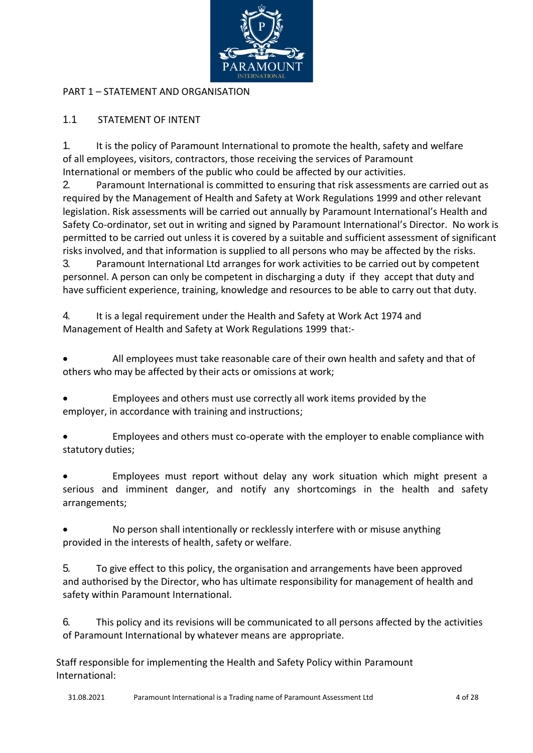

## PART 1 – STATEMENT AND ORGANISATION

## 1.1 STATEMENT OF INTENT

1. It is the policy of Paramount International to promote the health, safety and welfare of all employees, visitors, contractors, those receiving the services of Paramount International or members of the public who could be affected by our activities.

2. Paramount International is committed to ensuring that risk assessments are carried out as required by the Management of Health and Safety at Work Regulations 1999 and other relevant legislation. Risk assessments will be carried out annually by Paramount International's Health and Safety Co-ordinator, set out in writing and signed by Paramount International's Director. No work is permitted to be carried out unless it is covered by a suitable and sufficient assessment of significant risks involved, and that information is supplied to all persons who may be affected by the risks.

3. Paramount International Ltd arranges for work activities to be carried out by competent personnel. A person can only be competent in discharging a duty if they accept that duty and have sufficient experience, training, knowledge and resources to be able to carry out that duty.

4. It is a legal requirement under the Health and Safety at Work Act 1974 and Management of Health and Safety at Work Regulations 1999 that:-

• All employees must take reasonable care of their own health and safety and that of others who may be affected by their acts or omissions at work;

• Employees and others must use correctly all work items provided by the employer, in accordance with training and instructions;

• Employees and others must co-operate with the employer to enable compliance with statutory duties;

• Employees must report without delay any work situation which might present a serious and imminent danger, and notify any shortcomings in the health and safety arrangements;

• No person shall intentionally or recklessly interfere with or misuse anything provided in the interests of health, safety or welfare.

5. To give effect to this policy, the organisation and arrangements have been approved and authorised by the Director, who has ultimate responsibility for management of health and safety within Paramount International.

6. This policy and its revisions will be communicated to all persons affected by the activities of Paramount International by whatever means are appropriate.

Staff responsible for implementing the Health and Safety Policy within Paramount International: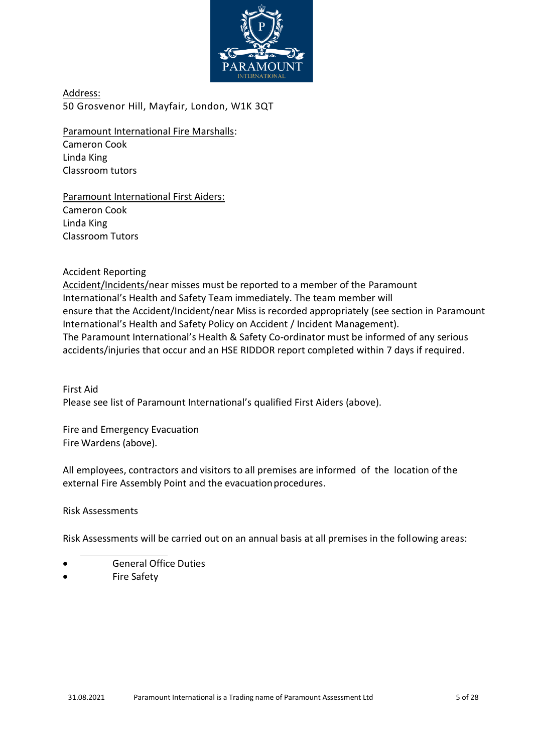

Address: 50 Grosvenor Hill, Mayfair, London, W1K 3QT

Paramount International Fire Marshalls: Cameron Cook Linda King

Classroom tutors

Paramount International First Aiders: Cameron Cook Linda King Classroom Tutors

Accident Reporting

Accident/Incidents/near misses must be reported to a member of the Paramount International's Health and Safety Team immediately. The team member will ensure that the Accident/Incident/near Miss is recorded appropriately (see section in Paramount International's Health and Safety Policy on Accident / Incident Management). The Paramount International's Health & Safety Co-ordinator must be informed of any serious accidents/injuries that occur and an HSE RIDDOR report completed within 7 days if required.

First Aid Please see list of Paramount International's qualified First Aiders (above).

Fire and Emergency Evacuation Fire Wardens (above).

All employees, contractors and visitors to all premises are informed of the location of the external Fire Assembly Point and the evacuation procedures.

Risk Assessments

Risk Assessments will be carried out on an annual basis at all premises in the following areas:

- General Office Duties
- Fire Safety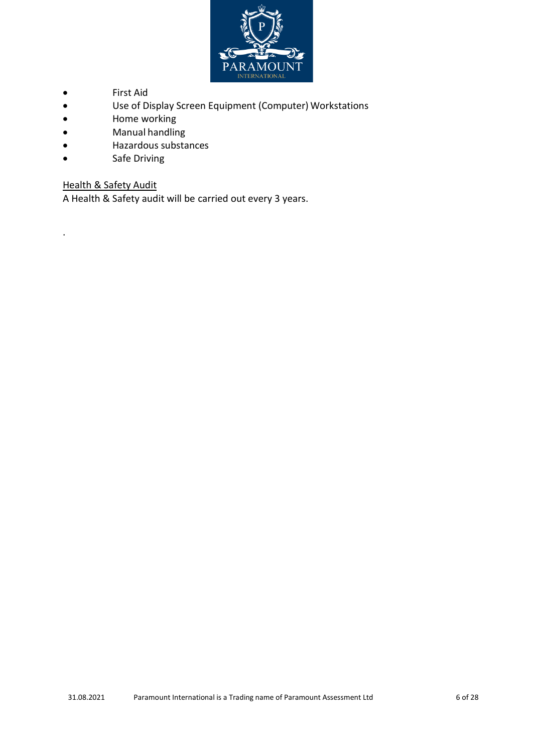

- First Aid
- Use of Display Screen Equipment (Computer) Workstations
- Home working
- Manual handling
- Hazardous substances
- Safe Driving

# **Health & Safety Audit**

.

A Health & Safety audit will be carried out every 3 years.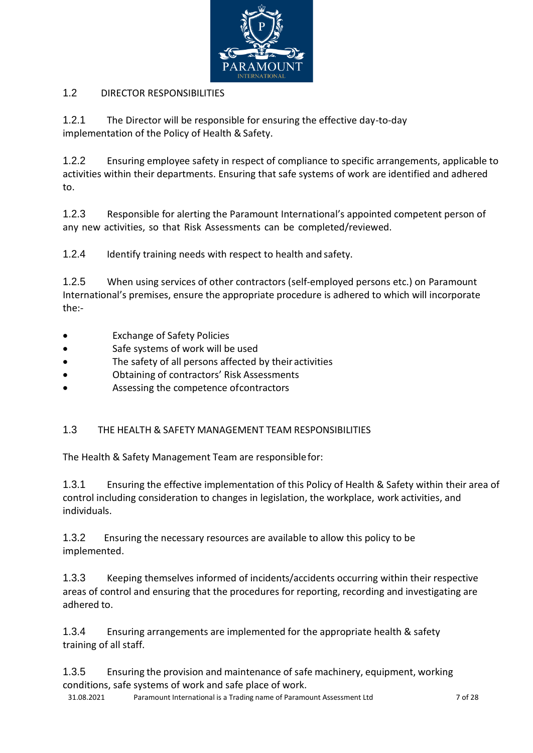

# <span id="page-5-0"></span>1.2 DIRECTOR RESPONSIBILITIES

1.2.1 The Director will be responsible for ensuring the effective day-to-day implementation of the Policy of Health & Safety.

1.2.2 Ensuring employee safety in respect of compliance to specific arrangements, applicable to activities within their departments. Ensuring that safe systems of work are identified and adhered to.

1.2.3 Responsible for alerting the Paramount International's appointed competent person of any new activities, so that Risk Assessments can be completed/reviewed.

1.2.4 Identify training needs with respect to health and safety.

1.2.5 When using services of other contractors (self-employed persons etc.) on Paramount International's premises, ensure the appropriate procedure is adhered to which will incorporate the:-

- Exchange of Safety Policies
- Safe systems of work will be used
- The safety of all persons affected by their activities
- Obtaining of contractors' Risk Assessments
- Assessing the competence ofcontractors

## <span id="page-5-1"></span>1.3 THE HEALTH & SAFETY MANAGEMENT TEAM RESPONSIBILITIES

The Health & Safety Management Team are responsiblefor:

1.3.1 Ensuring the effective implementation of this Policy of Health & Safety within their area of control including consideration to changes in legislation, the workplace, work activities, and individuals.

1.3.2 Ensuring the necessary resources are available to allow this policy to be implemented.

1.3.3 Keeping themselves informed of incidents/accidents occurring within their respective areas of control and ensuring that the procedures for reporting, recording and investigating are adhered to.

1.3.4 Ensuring arrangements are implemented for the appropriate health & safety training of all staff.

1.3.5 Ensuring the provision and maintenance of safe machinery, equipment, working conditions, safe systems of work and safe place of work.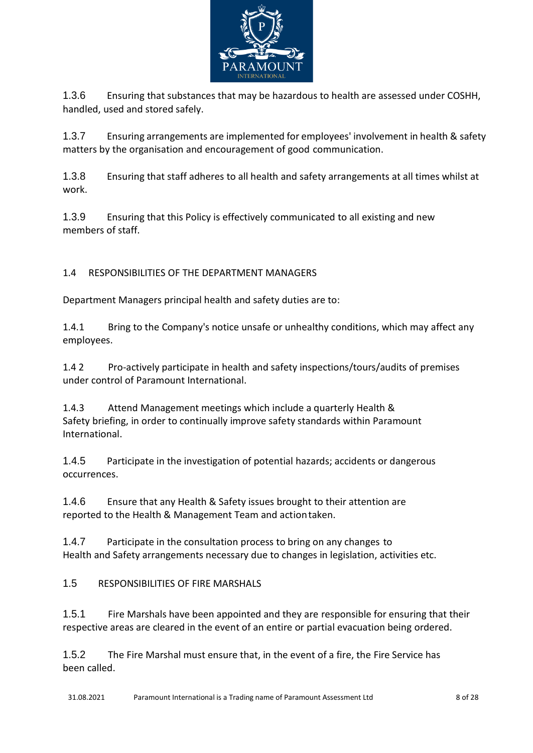

1.3.6 Ensuring that substances that may be hazardous to health are assessed under COSHH, handled, used and stored safely.

1.3.7 Ensuring arrangements are implemented for employees' involvement in health & safety matters by the organisation and encouragement of good communication.

1.3.8 Ensuring that staff adheres to all health and safety arrangements at all times whilst at work.

1.3.9 Ensuring that this Policy is effectively communicated to all existing and new members of staff.

<span id="page-6-0"></span>1.4 RESPONSIBILITIES OF THE DEPARTMENT MANAGERS

Department Managers principal health and safety duties are to:

1.4.1 Bring to the Company's notice unsafe or unhealthy conditions, which may affect any employees.

1.4 2 Pro-actively participate in health and safety inspections/tours/audits of premises under control of Paramount International.

1.4.3 Attend Management meetings which include a quarterly Health & Safety briefing, in order to continually improve safety standards within Paramount International.

1.4.5 Participate in the investigation of potential hazards; accidents or dangerous occurrences.

1.4.6 Ensure that any Health & Safety issues brought to their attention are reported to the Health & Management Team and actiontaken.

1.4.7 Participate in the consultation process to bring on any changes to Health and Safety arrangements necessary due to changes in legislation, activities etc.

<span id="page-6-1"></span>1.5 RESPONSIBILITIES OF FIRE MARSHALS

1.5.1 Fire Marshals have been appointed and they are responsible for ensuring that their respective areas are cleared in the event of an entire or partial evacuation being ordered.

1.5.2 The Fire Marshal must ensure that, in the event of a fire, the Fire Service has been called.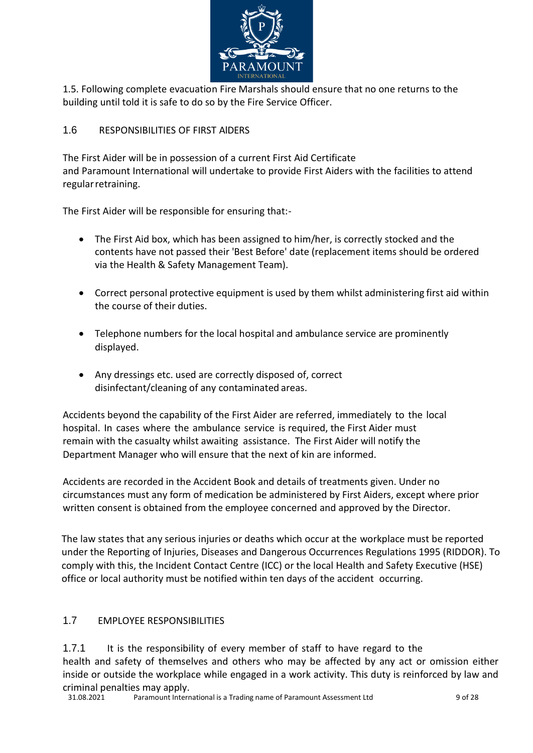

1.5. Following complete evacuation Fire Marshals should ensure that no one returns to the building until told it is safe to do so by the Fire Service Officer.

# <span id="page-7-0"></span>1.6 RESPONSIBILITIES OF FIRST AlDERS

The First Aider will be in possession of a current First Aid Certificate and Paramount International will undertake to provide First Aiders with the facilities to attend regularretraining.

The First Aider will be responsible for ensuring that:-

- The First Aid box, which has been assigned to him/her, is correctly stocked and the contents have not passed their 'Best Before' date (replacement items should be ordered via the Health & Safety Management Team).
- Correct personal protective equipment is used by them whilst administering first aid within the course of their duties.
- Telephone numbers for the local hospital and ambulance service are prominently displayed.
- Any dressings etc. used are correctly disposed of, correct disinfectant/cleaning of any contaminated areas.

Accidents beyond the capability of the First Aider are referred, immediately to the local hospital. In cases where the ambulance service is required, the First Aider must remain with the casualty whilst awaiting assistance. The First Aider will notify the Department Manager who will ensure that the next of kin are informed.

Accidents are recorded in the Accident Book and details of treatments given. Under no circumstances must any form of medication be administered by First Aiders, except where prior written consent is obtained from the employee concerned and approved by the Director.

The law states that any serious injuries or deaths which occur at the workplace must be reported under the Reporting of Injuries, Diseases and Dangerous Occurrences Regulations 1995 (RIDDOR). To comply with this, the Incident Contact Centre (ICC) or the local Health and Safety Executive (HSE) office or local authority must be notified within ten days of the accident occurring.

## <span id="page-7-1"></span>1.7 EMPLOYEE RESPONSIBILITIES

1.7.1 It is the responsibility of every member of staff to have regard to the health and safety of themselves and others who may be affected by any act or omission either inside or outside the workplace while engaged in a work activity. This duty is reinforced by law and criminal penalties may apply.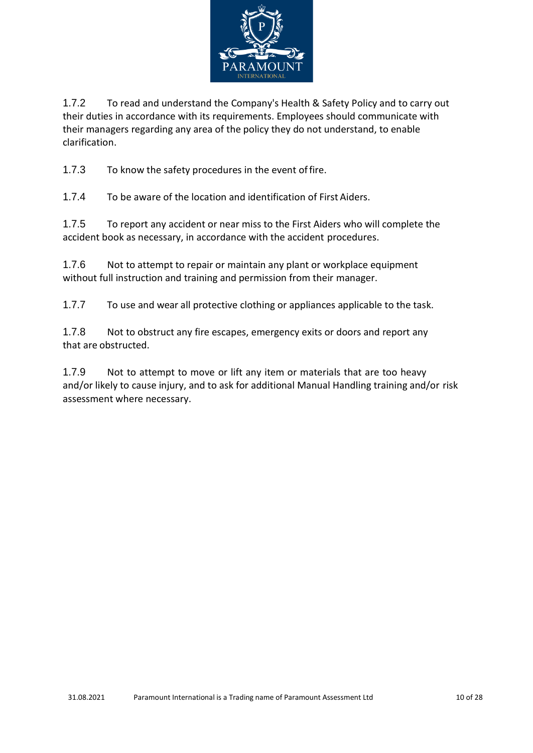

1.7.2 To read and understand the Company's Health & Safety Policy and to carry out their duties in accordance with its requirements. Employees should communicate with their managers regarding any area of the policy they do not understand, to enable clarification.

1.7.3 To know the safety procedures in the event offire.

1.7.4 To be aware of the location and identification of First Aiders.

1.7.5 To report any accident or near miss to the First Aiders who will complete the accident book as necessary, in accordance with the accident procedures.

1.7.6 Not to attempt to repair or maintain any plant or workplace equipment without full instruction and training and permission from their manager.

1.7.7 To use and wear all protective clothing or appliances applicable to the task.

1.7.8 Not to obstruct any fire escapes, emergency exits or doors and report any that are obstructed.

1.7.9 Not to attempt to move or lift any item or materials that are too heavy and/or likely to cause injury, and to ask for additional Manual Handling training and/or risk assessment where necessary.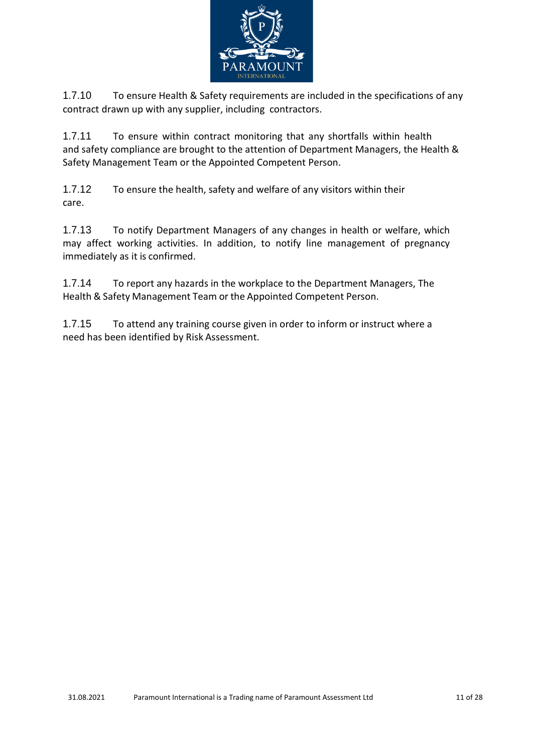

1.7.10 To ensure Health & Safety requirements are included in the specifications of any contract drawn up with any supplier, including contractors.

1.7.11 To ensure within contract monitoring that any shortfalls within health and safety compliance are brought to the attention of Department Managers, the Health & Safety Management Team or the Appointed Competent Person.

1.7.12 To ensure the health, safety and welfare of any visitors within their care.

1.7.13 To notify Department Managers of any changes in health or welfare, which may affect working activities. In addition, to notify line management of pregnancy immediately as it is confirmed.

1.7.14 To report any hazards in the workplace to the Department Managers, The Health & Safety Management Team or the Appointed Competent Person.

1.7.15 To attend any training course given in order to inform or instruct where a need has been identified by Risk Assessment.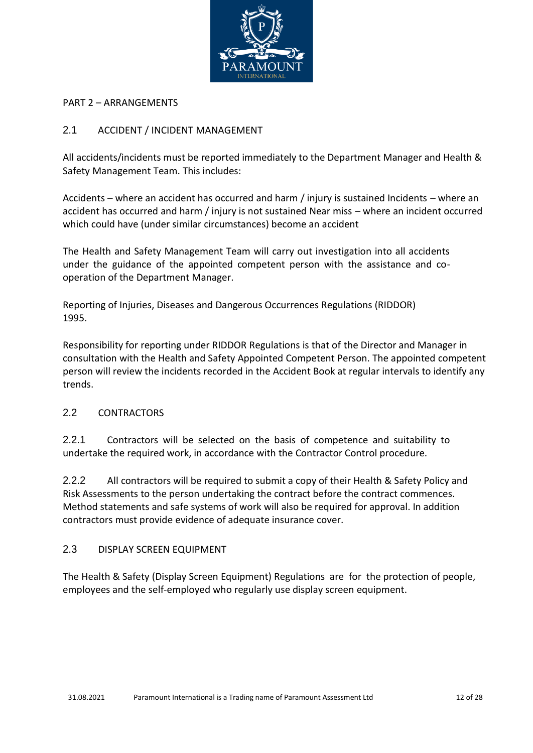

### PART 2 – ARRANGEMENTS

## <span id="page-10-0"></span>2.1 ACCIDENT / INCIDENT MANAGEMENT

All accidents/incidents must be reported immediately to the Department Manager and Health & Safety Management Team. This includes:

Accidents – where an accident has occurred and harm / injury is sustained Incidents – where an accident has occurred and harm / injury is not sustained Near miss – where an incident occurred which could have (under similar circumstances) become an accident

The Health and Safety Management Team will carry out investigation into all accidents under the guidance of the appointed competent person with the assistance and cooperation of the Department Manager.

Reporting of Injuries, Diseases and Dangerous Occurrences Regulations (RIDDOR) 1995.

Responsibility for reporting under RIDDOR Regulations is that of the Director and Manager in consultation with the Health and Safety Appointed Competent Person. The appointed competent person will review the incidents recorded in the Accident Book at regular intervals to identify any trends.

### <span id="page-10-1"></span>2.2 CONTRACTORS

2.2.1 Contractors will be selected on the basis of competence and suitability to undertake the required work, in accordance with the Contractor Control procedure.

2.2.2 All contractors will be required to submit a copy of their Health & Safety Policy and Risk Assessments to the person undertaking the contract before the contract commences. Method statements and safe systems of work will also be required for approval. In addition contractors must provide evidence of adequate insurance cover.

### <span id="page-10-2"></span>2.3 DISPLAY SCREEN EQUIPMENT

The Health & Safety (Display Screen Equipment) Regulations are for the protection of people, employees and the self-employed who regularly use display screen equipment.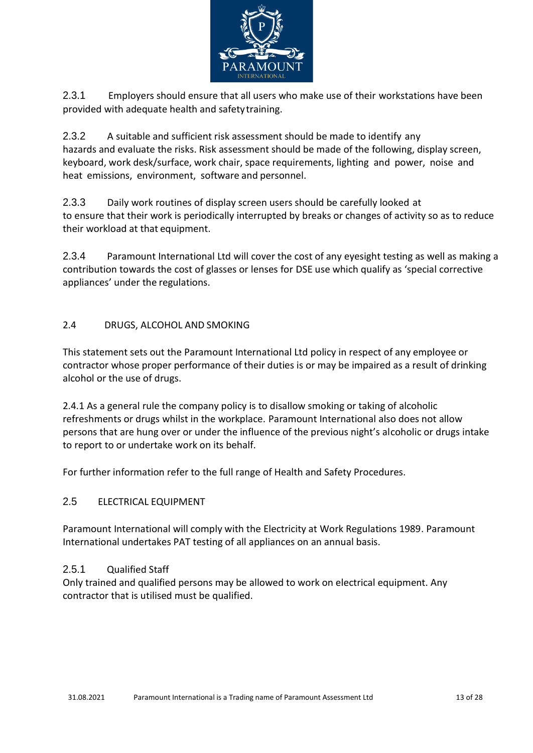

2.3.1 Employers should ensure that all users who make use of their workstations have been provided with adequate health and safetytraining.

2.3.2 A suitable and sufficient risk assessment should be made to identify any hazards and evaluate the risks. Risk assessment should be made of the following, display screen, keyboard, work desk/surface, work chair, space requirements, lighting and power, noise and heat emissions, environment, software and personnel.

2.3.3 Daily work routines of display screen users should be carefully looked at to ensure that their work is periodically interrupted by breaks or changes of activity so as to reduce their workload at that equipment.

2.3.4 Paramount International Ltd will cover the cost of any eyesight testing as well as making a contribution towards the cost of glasses or lenses for DSE use which qualify as 'special corrective appliances' under the regulations.

## <span id="page-11-0"></span>2.4 DRUGS, ALCOHOL AND SMOKING

This statement sets out the Paramount International Ltd policy in respect of any employee or contractor whose proper performance of their duties is or may be impaired as a result of drinking alcohol or the use of drugs.

2.4.1 As a general rule the company policy is to disallow smoking or taking of alcoholic refreshments or drugs whilst in the workplace. Paramount International also does not allow persons that are hung over or under the influence of the previous night's alcoholic or drugs intake to report to or undertake work on its behalf.

For further information refer to the full range of Health and Safety Procedures.

## <span id="page-11-1"></span>2.5 ELECTRICAL EQUIPMENT

Paramount International will comply with the Electricity at Work Regulations 1989. Paramount International undertakes PAT testing of all appliances on an annual basis.

### 2.5.1 Qualified Staff

Only trained and qualified persons may be allowed to work on electrical equipment. Any contractor that is utilised must be qualified.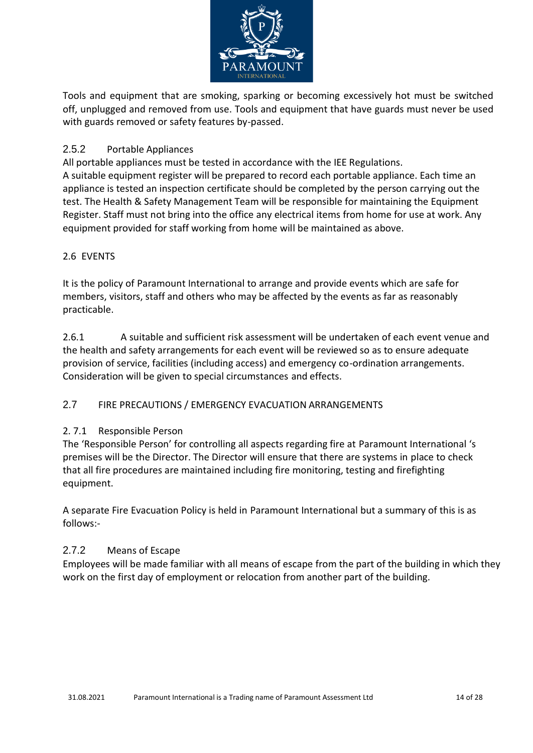

Tools and equipment that are smoking, sparking or becoming excessively hot must be switched off, unplugged and removed from use. Tools and equipment that have guards must never be used with guards removed or safety features by-passed.

# 2.5.2 Portable Appliances

All portable appliances must be tested in accordance with the IEE Regulations.

A suitable equipment register will be prepared to record each portable appliance. Each time an appliance is tested an inspection certificate should be completed by the person carrying out the test. The Health & Safety Management Team will be responsible for maintaining the Equipment Register. Staff must not bring into the office any electrical items from home for use at work. Any equipment provided for staff working from home will be maintained as above.

## <span id="page-12-0"></span>2.6 EVENTS

It is the policy of Paramount International to arrange and provide events which are safe for members, visitors, staff and others who may be affected by the events as far as reasonably practicable.

2.6.1 A suitable and sufficient risk assessment will be undertaken of each event venue and the health and safety arrangements for each event will be reviewed so as to ensure adequate provision of service, facilities (including access) and emergency co-ordination arrangements. Consideration will be given to special circumstances and effects.

## <span id="page-12-1"></span>2.7 FIRE PRECAUTIONS / EMERGENCY EVACUATION ARRANGEMENTS

## 2. 7.1 Responsible Person

The 'Responsible Person' for controlling all aspects regarding fire at Paramount International 's premises will be the Director. The Director will ensure that there are systems in place to check that all fire procedures are maintained including fire monitoring, testing and firefighting equipment.

A separate Fire Evacuation Policy is held in Paramount International but a summary of this is as follows:-

## 2.7.2 Means of Escape

Employees will be made familiar with all means of escape from the part of the building in which they work on the first day of employment or relocation from another part of the building.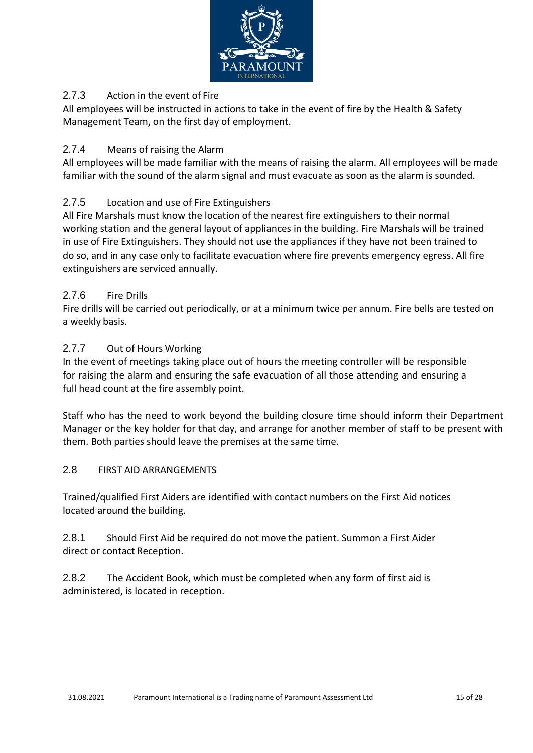

# 2.7.3 Action in the event of Fire

All employees will be instructed in actions to take in the event of fire by the Health & Safety Management Team, on the first day of employment.

## 2.7.4 Means of raising the Alarm

All employees will be made familiar with the means of raising the alarm. All employees will be made familiar with the sound of the alarm signal and must evacuate as soon as the alarm is sounded.

## 2.7.5 Location and use of Fire Extinguishers

All Fire Marshals must know the location of the nearest fire extinguishers to their normal working station and the general layout of appliances in the building. Fire Marshals will be trained in use of Fire Extinguishers. They should not use the appliances if they have not been trained to do so, and in any case only to facilitate evacuation where fire prevents emergency egress. All fire extinguishers are serviced annually.

## 2.7.6 Fire Drills

Fire drills will be carried out periodically, or at a minimum twice per annum. Fire bells are tested on a weekly basis.

### 2.7.7 Out of Hours Working

In the event of meetings taking place out of hours the meeting controller will be responsible for raising the alarm and ensuring the safe evacuation of all those attending and ensuring a full head count at the fire assembly point.

Staff who has the need to work beyond the building closure time should inform their Department Manager or the key holder for that day, and arrange for another member of staff to be present with them. Both parties should leave the premises at the same time.

### <span id="page-13-0"></span>2.8 FIRST AID ARRANGEMENTS

Trained/qualified First Aiders are identified with contact numbers on the First Aid notices located around the building.

2.8.1 Should First Aid be required do not move the patient. Summon a First Aider direct or contact Reception.

2.8.2 The Accident Book, which must be completed when any form of first aid is administered, is located in reception.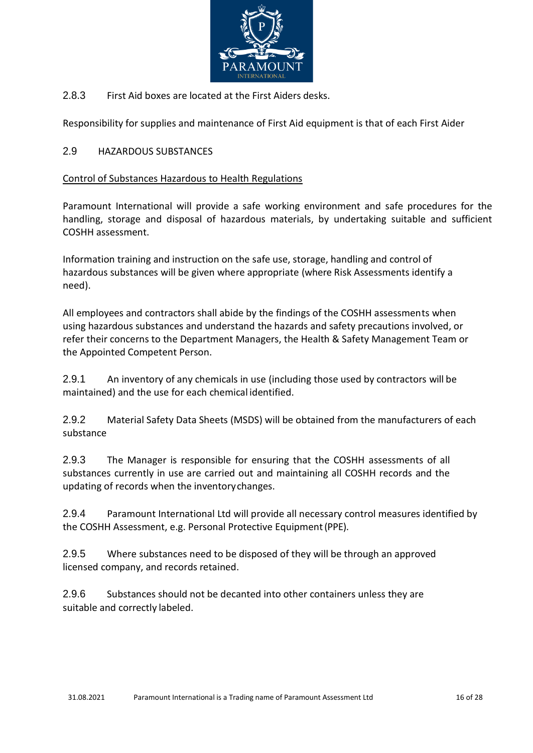

2.8.3 First Aid boxes are located at the First Aiders desks.

Responsibility for supplies and maintenance of First Aid equipment is that of each First Aider

## <span id="page-14-0"></span>2.9 HAZARDOUS SUBSTANCES

## Control of Substances Hazardous to Health Regulations

Paramount International will provide a safe working environment and safe procedures for the handling, storage and disposal of hazardous materials, by undertaking suitable and sufficient COSHH assessment.

Information training and instruction on the safe use, storage, handling and control of hazardous substances will be given where appropriate (where Risk Assessments identify a need).

All employees and contractors shall abide by the findings of the COSHH assessments when using hazardous substances and understand the hazards and safety precautions involved, or refer their concerns to the Department Managers, the Health & Safety Management Team or the Appointed Competent Person.

2.9.1 An inventory of any chemicals in use (including those used by contractors will be maintained) and the use for each chemical identified.

2.9.2 Material Safety Data Sheets (MSDS) will be obtained from the manufacturers of each substance

2.9.3 The Manager is responsible for ensuring that the COSHH assessments of all substances currently in use are carried out and maintaining all COSHH records and the updating of records when the inventorychanges.

2.9.4 Paramount International Ltd will provide all necessary control measures identified by the COSHH Assessment, e.g. Personal Protective Equipment(PPE).

2.9.5 Where substances need to be disposed of they will be through an approved licensed company, and records retained.

<span id="page-14-1"></span>2.9.6 Substances should not be decanted into other containers unless they are suitable and correctly labeled.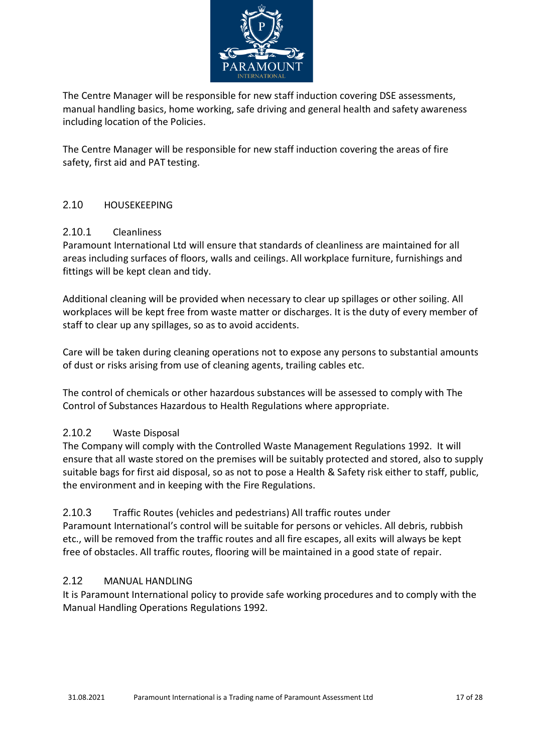

The Centre Manager will be responsible for new staff induction covering DSE assessments, manual handling basics, home working, safe driving and general health and safety awareness including location of the Policies.

The Centre Manager will be responsible for new staff induction covering the areas of fire safety, first aid and PAT testing.

## <span id="page-15-0"></span>2.10 HOUSEKEEPING

### 2.10.1 Cleanliness

Paramount International Ltd will ensure that standards of cleanliness are maintained for all areas including surfaces of floors, walls and ceilings. All workplace furniture, furnishings and fittings will be kept clean and tidy.

Additional cleaning will be provided when necessary to clear up spillages or other soiling. All workplaces will be kept free from waste matter or discharges. It is the duty of every member of staff to clear up any spillages, so as to avoid accidents.

Care will be taken during cleaning operations not to expose any persons to substantial amounts of dust or risks arising from use of cleaning agents, trailing cables etc.

The control of chemicals or other hazardous substances will be assessed to comply with The Control of Substances Hazardous to Health Regulations where appropriate.

## 2.10.2 Waste Disposal

The Company will comply with the Controlled Waste Management Regulations 1992. It will ensure that all waste stored on the premises will be suitably protected and stored, also to supply suitable bags for first aid disposal, so as not to pose a Health & Safety risk either to staff, public, the environment and in keeping with the Fire Regulations.

### 2.10.3 Traffic Routes (vehicles and pedestrians) All traffic routes under

Paramount International's control will be suitable for persons or vehicles. All debris, rubbish etc., will be removed from the traffic routes and all fire escapes, all exits will always be kept free of obstacles. All traffic routes, flooring will be maintained in a good state of repair.

## 2.12 MANUAL HANDLING

It is Paramount International policy to provide safe working procedures and to comply with the Manual Handling Operations Regulations 1992.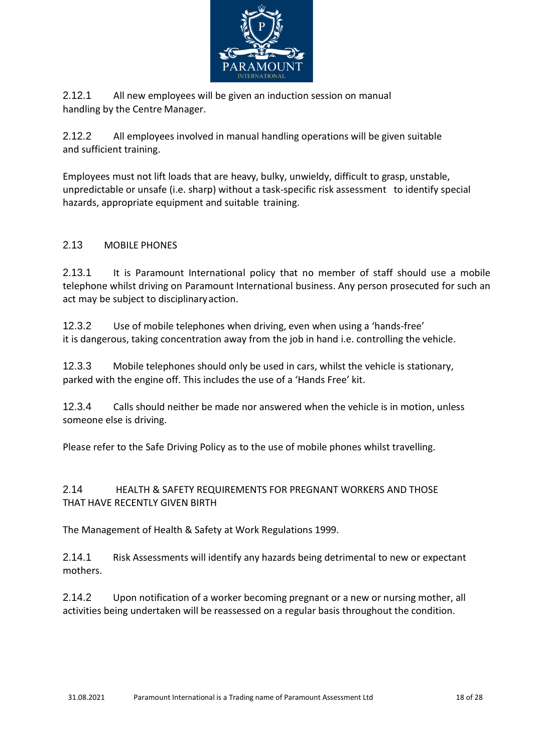

2.12.1 All new employees will be given an induction session on manual handling by the Centre Manager.

2.12.2 All employees involved in manual handling operations will be given suitable and sufficient training.

Employees must not lift loads that are heavy, bulky, unwieldy, difficult to grasp, unstable, unpredictable or unsafe (i.e. sharp) without a task-specific risk assessment to identify special hazards, appropriate equipment and suitable training.

## <span id="page-16-0"></span>2.13 MOBILE PHONES

2.13.1 It is Paramount International policy that no member of staff should use a mobile telephone whilst driving on Paramount International business. Any person prosecuted for such an act may be subject to disciplinaryaction.

12.3.2 Use of mobile telephones when driving, even when using a 'hands-free' it is dangerous, taking concentration away from the job in hand i.e. controlling the vehicle.

12.3.3 Mobile telephones should only be used in cars, whilst the vehicle is stationary, parked with the engine off. This includes the use of a 'Hands Free' kit.

12.3.4 Calls should neither be made nor answered when the vehicle is in motion, unless someone else is driving.

Please refer to the Safe Driving Policy as to the use of mobile phones whilst travelling.

<span id="page-16-1"></span>2.14 HEALTH & SAFETY REQUIREMENTS FOR PREGNANT WORKERS AND THOSE THAT HAVE RECENTLY GIVEN BIRTH

The Management of Health & Safety at Work Regulations 1999.

2.14.1 Risk Assessments will identify any hazards being detrimental to new or expectant mothers.

2.14.2 Upon notification of a worker becoming pregnant or a new or nursing mother, all activities being undertaken will be reassessed on a regular basis throughout the condition.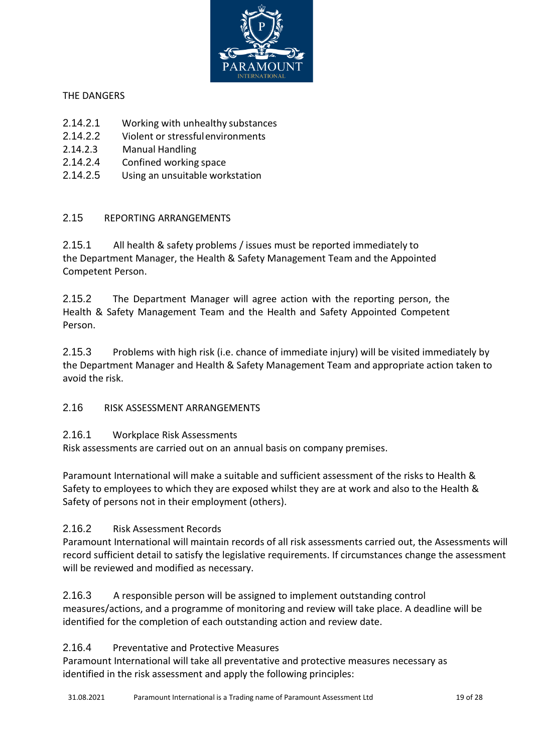![](_page_17_Picture_0.jpeg)

## THE DANGERS

- 2.14.2.1 Working with unhealthy substances
- 2.14.2.2 Violent or stressfulenvironments
- 2.14.2.3 Manual Handling
- 2.14.2.4 Confined working space
- 2.14.2.5 Using an unsuitable workstation

# <span id="page-17-0"></span>2.15 REPORTING ARRANGEMENTS

2.15.1 All health & safety problems / issues must be reported immediately to the Department Manager, the Health & Safety Management Team and the Appointed Competent Person.

2.15.2 The Department Manager will agree action with the reporting person, the Health & Safety Management Team and the Health and Safety Appointed Competent Person.

2.15.3 Problems with high risk (i.e. chance of immediate injury) will be visited immediately by the Department Manager and Health & Safety Management Team and appropriate action taken to avoid the risk.

# <span id="page-17-1"></span>2.16 RISK ASSESSMENT ARRANGEMENTS

## 2.16.1 Workplace Risk Assessments

Risk assessments are carried out on an annual basis on company premises.

Paramount International will make a suitable and sufficient assessment of the risks to Health & Safety to employees to which they are exposed whilst they are at work and also to the Health & Safety of persons not in their employment (others).

# 2.16.2 Risk Assessment Records

Paramount International will maintain records of all risk assessments carried out, the Assessments will record sufficient detail to satisfy the legislative requirements. If circumstances change the assessment will be reviewed and modified as necessary.

# 2.16.3 A responsible person will be assigned to implement outstanding control

measures/actions, and a programme of monitoring and review will take place. A deadline will be identified for the completion of each outstanding action and review date.

## 2.16.4 Preventative and Protective Measures

Paramount International will take all preventative and protective measures necessary as identified in the risk assessment and apply the following principles: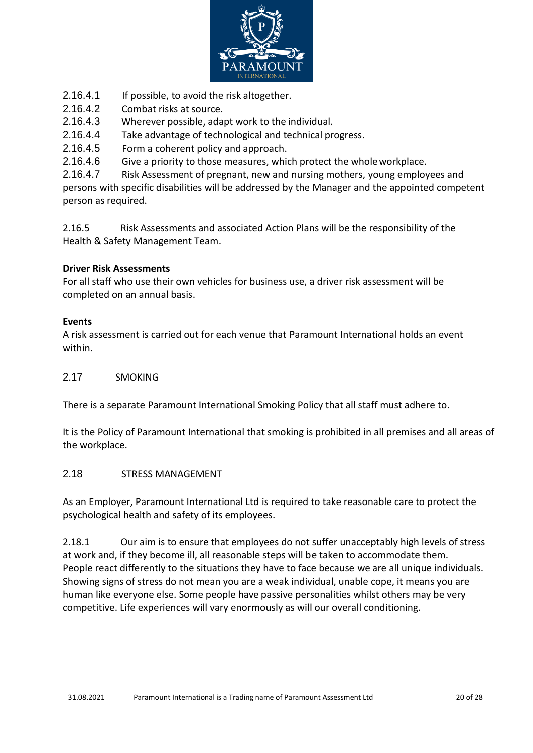![](_page_18_Picture_0.jpeg)

- 2.16.4.1 If possible, to avoid the risk altogether.
- 2.16.4.2 Combat risks at source.
- 2.16.4.3 Wherever possible, adapt work to the individual.
- 2.16.4.4 Take advantage of technological and technical progress.
- 2.16.4.5 Form a coherent policy and approach.
- 2.16.4.6 Give a priority to those measures, which protect the wholeworkplace.

2.16.4.7 Risk Assessment of pregnant, new and nursing mothers, young employees and persons with specific disabilities will be addressed by the Manager and the appointed competent person as required.

2.16.5 Risk Assessments and associated Action Plans will be the responsibility of the Health & Safety Management Team.

### **Driver Risk Assessments**

For all staff who use their own vehicles for business use, a driver risk assessment will be completed on an annual basis.

### **Events**

A risk assessment is carried out for each venue that Paramount International holds an event within.

### 2.17 SMOKING

<span id="page-18-0"></span>There is a separate Paramount International Smoking Policy that all staff must adhere to.

It is the Policy of Paramount International that smoking is prohibited in all premises and all areas of the workplace.

### 2.18 STRESS MANAGEMENT

<span id="page-18-1"></span>As an Employer, Paramount International Ltd is required to take reasonable care to protect the psychological health and safety of its employees.

2.18.1 Our aim is to ensure that employees do not suffer unacceptably high levels of stress at work and, if they become ill, all reasonable steps will be taken to accommodate them. People react differently to the situations they have to face because we are all unique individuals. Showing signs of stress do not mean you are a weak individual, unable cope, it means you are human like everyone else. Some people have passive personalities whilst others may be very competitive. Life experiences will vary enormously as will our overall conditioning.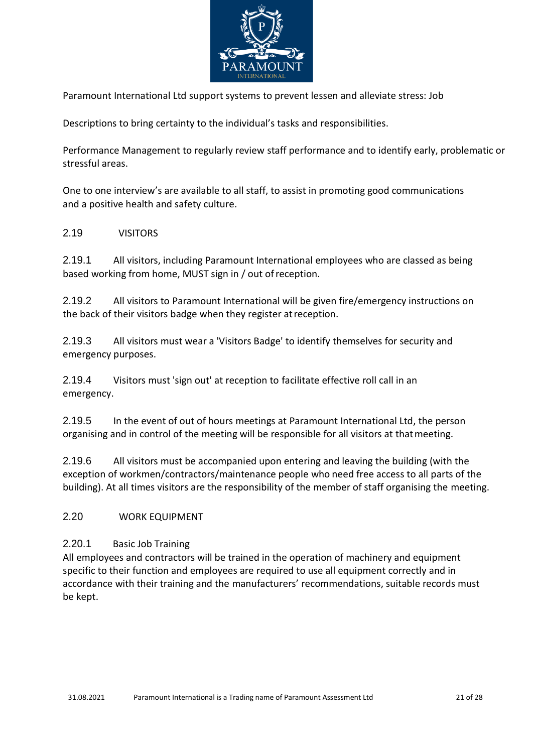![](_page_19_Picture_0.jpeg)

Paramount International Ltd support systems to prevent lessen and alleviate stress: Job

Descriptions to bring certainty to the individual's tasks and responsibilities.

Performance Management to regularly review staff performance and to identify early, problematic or stressful areas.

One to one interview's are available to all staff, to assist in promoting good communications and a positive health and safety culture.

### 2.19 VISITORS

2.19.1 All visitors, including Paramount International employees who are classed as being based working from home, MUST sign in / out ofreception.

2.19.2 All visitors to Paramount International will be given fire/emergency instructions on the back of their visitors badge when they register atreception.

2.19.3 All visitors must wear a 'Visitors Badge' to identify themselves for security and emergency purposes.

2.19.4 Visitors must 'sign out' at reception to facilitate effective roll call in an emergency.

2.19.5 In the event of out of hours meetings at Paramount International Ltd, the person organising and in control of the meeting will be responsible for all visitors at thatmeeting.

2.19.6 All visitors must be accompanied upon entering and leaving the building (with the exception of workmen/contractors/maintenance people who need free access to all parts of the building). At all times visitors are the responsibility of the member of staff organising the meeting.

### <span id="page-19-0"></span>2.20 WORK EQUIPMENT

### 2.20.1 Basic Job Training

All employees and contractors will be trained in the operation of machinery and equipment specific to their function and employees are required to use all equipment correctly and in accordance with their training and the manufacturers' recommendations, suitable records must be kept.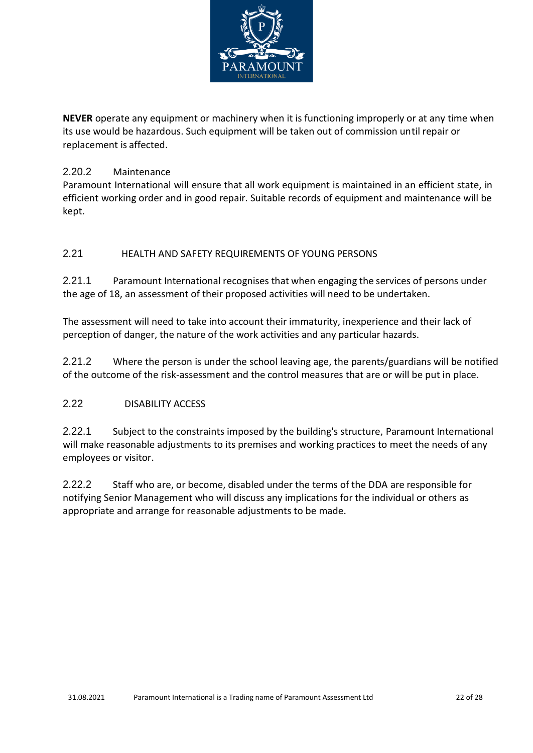![](_page_20_Picture_0.jpeg)

**NEVER** operate any equipment or machinery when it is functioning improperly or at any time when its use would be hazardous. Such equipment will be taken out of commission until repair or replacement is affected.

# 2.20.2 Maintenance

Paramount International will ensure that all work equipment is maintained in an efficient state, in efficient working order and in good repair. Suitable records of equipment and maintenance will be kept.

## <span id="page-20-0"></span>2.21 HEALTH AND SAFETY REQUIREMENTS OF YOUNG PERSONS

2.21.1 Paramount International recognises that when engaging the services of persons under the age of 18, an assessment of their proposed activities will need to be undertaken.

The assessment will need to take into account their immaturity, inexperience and their lack of perception of danger, the nature of the work activities and any particular hazards.

2.21.2 Where the person is under the school leaving age, the parents/guardians will be notified of the outcome of the risk-assessment and the control measures that are or will be put in place.

## <span id="page-20-1"></span>2.22 DISABILITY ACCESS

2.22.1 Subject to the constraints imposed by the building's structure, Paramount International will make reasonable adjustments to its premises and working practices to meet the needs of any employees or visitor.

2.22.2 Staff who are, or become, disabled under the terms of the DDA are responsible for notifying Senior Management who will discuss any implications for the individual or others as appropriate and arrange for reasonable adjustments to be made.